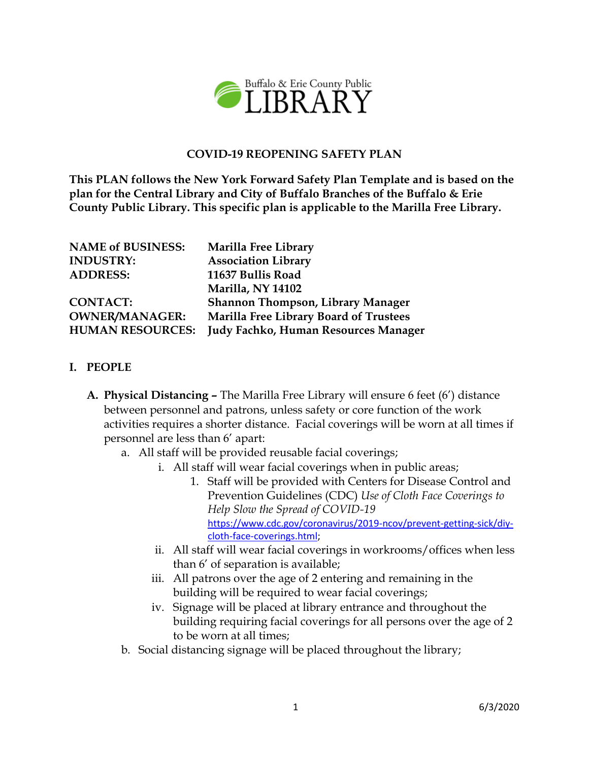

### **COVID-19 REOPENING SAFETY PLAN**

**This PLAN follows the New York Forward Safety Plan Template and is based on the plan for the Central Library and City of Buffalo Branches of the Buffalo & Erie County Public Library. This specific plan is applicable to the Marilla Free Library.**

| <b>NAME of BUSINESS:</b> | Marilla Free Library                          |
|--------------------------|-----------------------------------------------|
| <b>INDUSTRY:</b>         | <b>Association Library</b>                    |
| <b>ADDRESS:</b>          | 11637 Bullis Road                             |
|                          | <b>Marilla, NY 14102</b>                      |
| <b>CONTACT:</b>          | <b>Shannon Thompson, Library Manager</b>      |
| <b>OWNER/MANAGER:</b>    | <b>Marilla Free Library Board of Trustees</b> |
| <b>HUMAN RESOURCES:</b>  | <b>Judy Fachko, Human Resources Manager</b>   |

#### **I. PEOPLE**

- **A. Physical Distancing –** The Marilla Free Library will ensure 6 feet (6') distance between personnel and patrons, unless safety or core function of the work activities requires a shorter distance. Facial coverings will be worn at all times if personnel are less than 6' apart:
	- a. All staff will be provided reusable facial coverings;
		- i. All staff will wear facial coverings when in public areas;
			- 1. Staff will be provided with Centers for Disease Control and Prevention Guidelines (CDC) *Use of Cloth Face Coverings to Help Slow the Spread of COVID-19* [https://www.cdc.gov/coronavirus/2019-ncov/prevent-getting-sick/diy](https://www.cdc.gov/coronavirus/2019-ncov/prevent-getting-sick/diy-cloth-face-coverings.html)[cloth-face-coverings.html;](https://www.cdc.gov/coronavirus/2019-ncov/prevent-getting-sick/diy-cloth-face-coverings.html)
		- ii. All staff will wear facial coverings in workrooms/offices when less than 6' of separation is available;
		- iii. All patrons over the age of 2 entering and remaining in the building will be required to wear facial coverings;
		- iv. Signage will be placed at library entrance and throughout the building requiring facial coverings for all persons over the age of 2 to be worn at all times;
	- b. Social distancing signage will be placed throughout the library;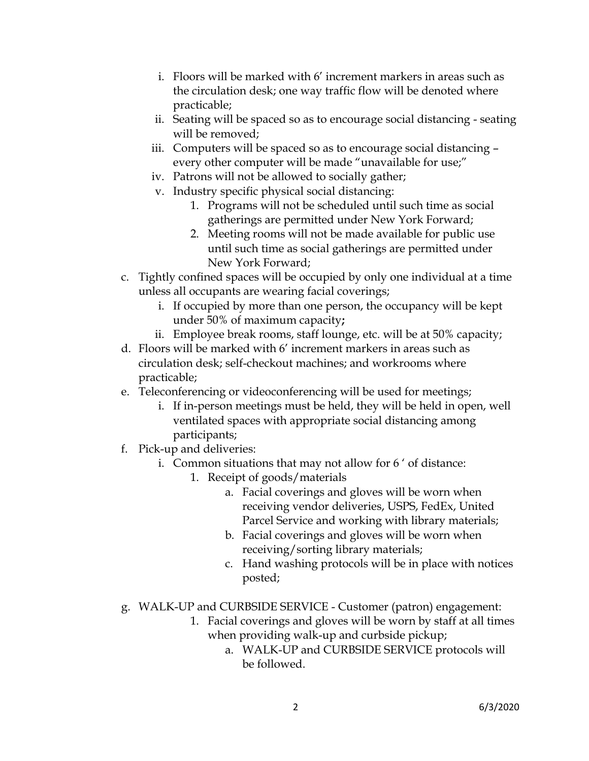- i. Floors will be marked with 6' increment markers in areas such as the circulation desk; one way traffic flow will be denoted where practicable;
- ii. Seating will be spaced so as to encourage social distancing seating will be removed;
- iii. Computers will be spaced so as to encourage social distancing every other computer will be made "unavailable for use;"
- iv. Patrons will not be allowed to socially gather;
- v. Industry specific physical social distancing:
	- 1. Programs will not be scheduled until such time as social gatherings are permitted under New York Forward;
	- 2. Meeting rooms will not be made available for public use until such time as social gatherings are permitted under New York Forward;
- c. Tightly confined spaces will be occupied by only one individual at a time unless all occupants are wearing facial coverings;
	- i. If occupied by more than one person, the occupancy will be kept under 50% of maximum capacity**;**
	- ii. Employee break rooms, staff lounge, etc. will be at 50% capacity;
- d. Floors will be marked with 6' increment markers in areas such as circulation desk; self-checkout machines; and workrooms where practicable;
- e. Teleconferencing or videoconferencing will be used for meetings;
	- i. If in-person meetings must be held, they will be held in open, well ventilated spaces with appropriate social distancing among participants;
- f. Pick-up and deliveries:
	- i. Common situations that may not allow for 6 ' of distance:
		- 1. Receipt of goods/materials
			- a. Facial coverings and gloves will be worn when receiving vendor deliveries, USPS, FedEx, United Parcel Service and working with library materials;
			- b. Facial coverings and gloves will be worn when receiving/sorting library materials;
			- c. Hand washing protocols will be in place with notices posted;
- g. WALK-UP and CURBSIDE SERVICE Customer (patron) engagement:
	- 1. Facial coverings and gloves will be worn by staff at all times when providing walk-up and curbside pickup;
		- a. WALK-UP and CURBSIDE SERVICE protocols will be followed.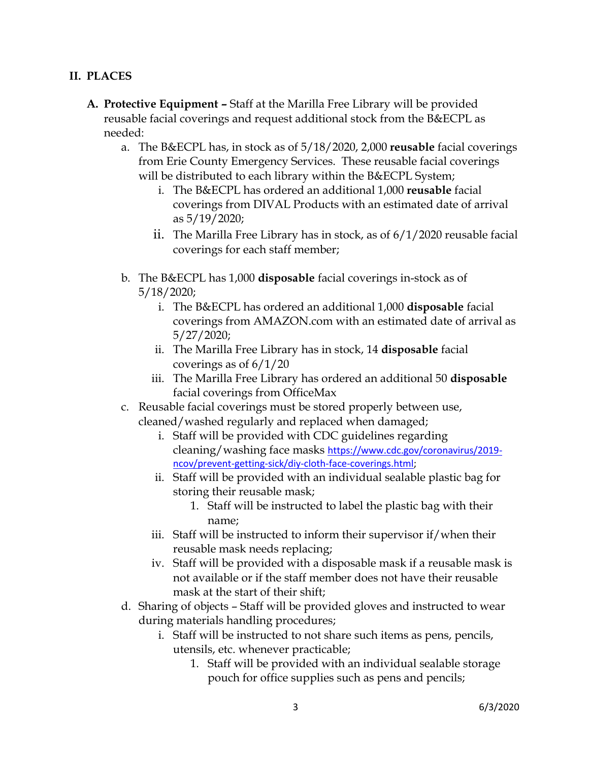#### **II. PLACES**

- **A. Protective Equipment –** Staff at the Marilla Free Library will be provided reusable facial coverings and request additional stock from the B&ECPL as needed:
	- a. The B&ECPL has, in stock as of 5/18/2020, 2,000 **reusable** facial coverings from Erie County Emergency Services. These reusable facial coverings will be distributed to each library within the B&ECPL System;
		- i. The B&ECPL has ordered an additional 1,000 **reusable** facial coverings from DIVAL Products with an estimated date of arrival as 5/19/2020;
		- ii. The Marilla Free Library has in stock, as of 6/1/2020 reusable facial coverings for each staff member;
	- b. The B&ECPL has 1,000 **disposable** facial coverings in-stock as of 5/18/2020;
		- i. The B&ECPL has ordered an additional 1,000 **disposable** facial coverings from AMAZON.com with an estimated date of arrival as 5/27/2020;
		- ii. The Marilla Free Library has in stock, 14 **disposable** facial coverings as of 6/1/20
		- iii. The Marilla Free Library has ordered an additional 50 **disposable** facial coverings from OfficeMax
	- c. Reusable facial coverings must be stored properly between use, cleaned/washed regularly and replaced when damaged;
		- i. Staff will be provided with CDC guidelines regarding cleaning/washing face masks [https://www.cdc.gov/coronavirus/2019](https://www.cdc.gov/coronavirus/2019-ncov/prevent-getting-sick/diy-cloth-face-coverings.html) [ncov/prevent-getting-sick/diy-cloth-face-coverings.html;](https://www.cdc.gov/coronavirus/2019-ncov/prevent-getting-sick/diy-cloth-face-coverings.html)
		- ii. Staff will be provided with an individual sealable plastic bag for storing their reusable mask;
			- 1. Staff will be instructed to label the plastic bag with their name;
		- iii. Staff will be instructed to inform their supervisor if/when their reusable mask needs replacing;
		- iv. Staff will be provided with a disposable mask if a reusable mask is not available or if the staff member does not have their reusable mask at the start of their shift;
	- d. Sharing of objects Staff will be provided gloves and instructed to wear during materials handling procedures;
		- i. Staff will be instructed to not share such items as pens, pencils, utensils, etc. whenever practicable;
			- 1. Staff will be provided with an individual sealable storage pouch for office supplies such as pens and pencils;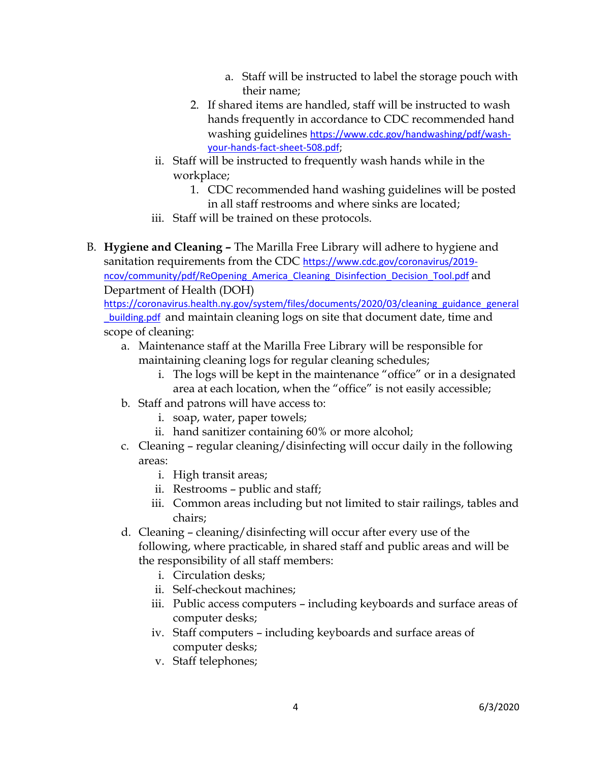- a. Staff will be instructed to label the storage pouch with their name;
- 2. If shared items are handled, staff will be instructed to wash hands frequently in accordance to CDC recommended hand washing guidelines [https://www.cdc.gov/handwashing/pdf/wash](https://www.cdc.gov/handwashing/pdf/wash-your-hands-fact-sheet-508.pdf)[your-hands-fact-sheet-508.pdf;](https://www.cdc.gov/handwashing/pdf/wash-your-hands-fact-sheet-508.pdf)
- ii. Staff will be instructed to frequently wash hands while in the workplace;
	- 1. CDC recommended hand washing guidelines will be posted in all staff restrooms and where sinks are located;
- iii. Staff will be trained on these protocols.
- B. **Hygiene and Cleaning –** The Marilla Free Library will adhere to hygiene and sanitation requirements from the CDC [https://www.cdc.gov/coronavirus/2019](https://www.cdc.gov/coronavirus/2019-ncov/community/pdf/ReOpening_America_Cleaning_Disinfection_Decision_Tool.pdf) [ncov/community/pdf/ReOpening\\_America\\_Cleaning\\_Disinfection\\_Decision\\_Tool.pdf](https://www.cdc.gov/coronavirus/2019-ncov/community/pdf/ReOpening_America_Cleaning_Disinfection_Decision_Tool.pdf) and Department of Health (DOH)

[https://coronavirus.health.ny.gov/system/files/documents/2020/03/cleaning\\_guidance\\_general](https://coronavirus.health.ny.gov/system/files/documents/2020/03/cleaning_guidance_general_building.pdf) **building.pdf** and maintain cleaning logs on site that document date, time and scope of cleaning:

- a. Maintenance staff at the Marilla Free Library will be responsible for maintaining cleaning logs for regular cleaning schedules;
	- i. The logs will be kept in the maintenance "office" or in a designated area at each location, when the "office" is not easily accessible;
- b. Staff and patrons will have access to:
	- i. soap, water, paper towels;
	- ii. hand sanitizer containing 60% or more alcohol;
- c. Cleaning regular cleaning/disinfecting will occur daily in the following areas:
	- i. High transit areas;
	- ii. Restrooms public and staff;
	- iii. Common areas including but not limited to stair railings, tables and chairs;
- d. Cleaning cleaning/disinfecting will occur after every use of the following, where practicable, in shared staff and public areas and will be the responsibility of all staff members:
	- i. Circulation desks;
	- ii. Self-checkout machines;
	- iii. Public access computers including keyboards and surface areas of computer desks;
	- iv. Staff computers including keyboards and surface areas of computer desks;
	- v. Staff telephones;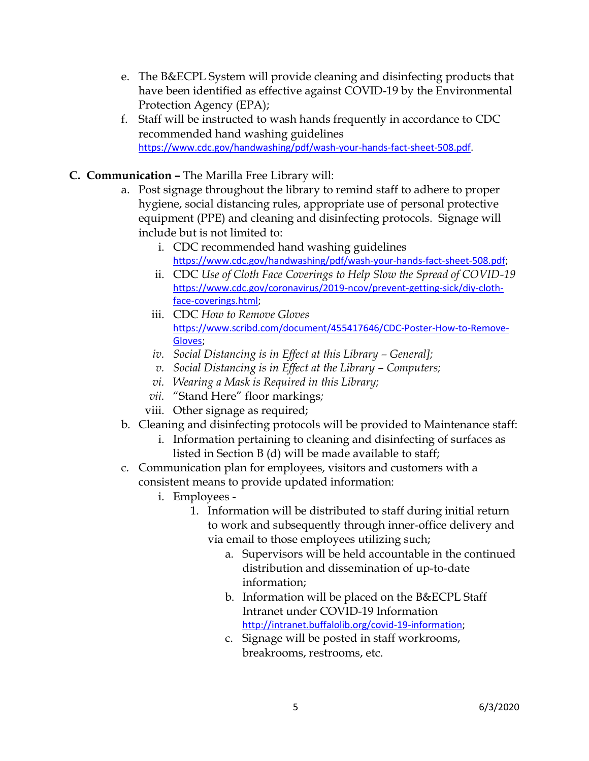- e. The B&ECPL System will provide cleaning and disinfecting products that have been identified as effective against COVID-19 by the Environmental Protection Agency (EPA);
- f. Staff will be instructed to wash hands frequently in accordance to CDC recommended hand washing guidelines [https://www.cdc.gov/handwashing/pdf/wash-your-hands-fact-sheet-508.pdf.](https://www.cdc.gov/handwashing/pdf/wash-your-hands-fact-sheet-508.pdf)
- **C. Communication –** The Marilla Free Library will:
	- a. Post signage throughout the library to remind staff to adhere to proper hygiene, social distancing rules, appropriate use of personal protective equipment (PPE) and cleaning and disinfecting protocols. Signage will include but is not limited to:
		- i. CDC recommended hand washing guidelines [https://www.cdc.gov/handwashing/pdf/wash-your-hands-fact-sheet-508.pdf;](https://www.cdc.gov/handwashing/pdf/wash-your-hands-fact-sheet-508.pdf)
		- ii. CDC *Use of Cloth Face Coverings to Help Slow the Spread of COVID-19*  [https://www.cdc.gov/coronavirus/2019-ncov/prevent-getting-sick/diy-cloth](https://www.cdc.gov/coronavirus/2019-ncov/prevent-getting-sick/diy-cloth-face-coverings.html)[face-coverings.html;](https://www.cdc.gov/coronavirus/2019-ncov/prevent-getting-sick/diy-cloth-face-coverings.html)
		- iii. CDC *How to Remove Gloves* [https://www.scribd.com/document/455417646/CDC-Poster-How-to-Remove-](https://www.scribd.com/document/455417646/CDC-Poster-How-to-Remove-Gloves)[Gloves;](https://www.scribd.com/document/455417646/CDC-Poster-How-to-Remove-Gloves)
		- *iv. Social Distancing is in Effect at this Library – General];*
		- *v. Social Distancing is in Effect at the Library Computers;*
		- *vi. Wearing a Mask is Required in this Library;*
		- *vii.* "Stand Here" floor markings*;*
		- viii. Other signage as required;
	- b. Cleaning and disinfecting protocols will be provided to Maintenance staff:
		- i. Information pertaining to cleaning and disinfecting of surfaces as listed in Section B (d) will be made available to staff;
	- c. Communication plan for employees, visitors and customers with a consistent means to provide updated information:
		- i. Employees
			- 1. Information will be distributed to staff during initial return to work and subsequently through inner-office delivery and via email to those employees utilizing such;
				- a. Supervisors will be held accountable in the continued distribution and dissemination of up-to-date information;
				- b. Information will be placed on the B&ECPL Staff Intranet under COVID-19 Information [http://intranet.buffalolib.org/covid-19-information;](http://intranet.buffalolib.org/covid-19-information)
				- c. Signage will be posted in staff workrooms, breakrooms, restrooms, etc.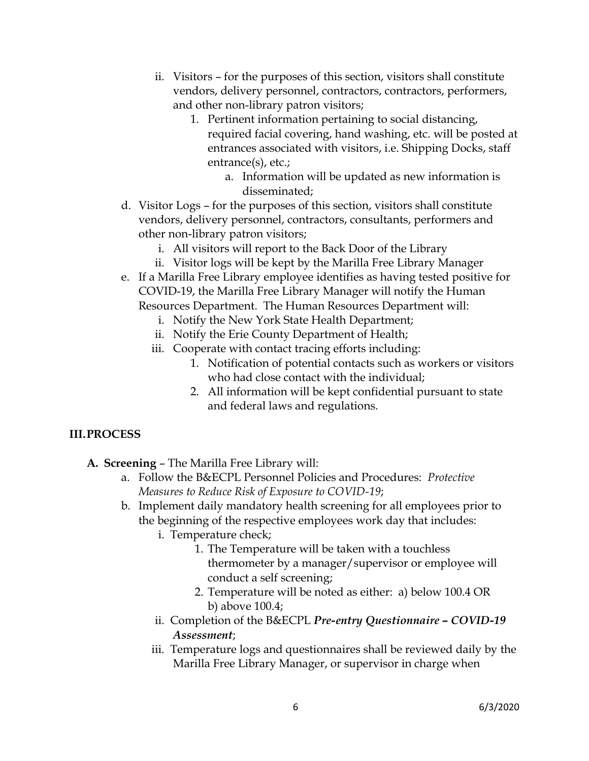- ii. Visitors for the purposes of this section, visitors shall constitute vendors, delivery personnel, contractors, contractors, performers, and other non-library patron visitors;
	- 1. Pertinent information pertaining to social distancing, required facial covering, hand washing, etc. will be posted at entrances associated with visitors, i.e. Shipping Docks, staff entrance(s), etc.;
		- a. Information will be updated as new information is disseminated;
- d. Visitor Logs for the purposes of this section, visitors shall constitute vendors, delivery personnel, contractors, consultants, performers and other non-library patron visitors;
	- i. All visitors will report to the Back Door of the Library
	- ii. Visitor logs will be kept by the Marilla Free Library Manager
- e. If a Marilla Free Library employee identifies as having tested positive for COVID-19, the Marilla Free Library Manager will notify the Human Resources Department. The Human Resources Department will:
	- i. Notify the New York State Health Department;
	- ii. Notify the Erie County Department of Health;
	- iii. Cooperate with contact tracing efforts including:
		- 1. Notification of potential contacts such as workers or visitors who had close contact with the individual;
		- 2. All information will be kept confidential pursuant to state and federal laws and regulations.

## **III.PROCESS**

- **A. Screening** The Marilla Free Library will:
	- a. Follow the B&ECPL Personnel Policies and Procedures: *Protective Measures to Reduce Risk of Exposure to COVID-19*;
	- b. Implement daily mandatory health screening for all employees prior to the beginning of the respective employees work day that includes:
		- i. Temperature check;
			- 1. The Temperature will be taken with a touchless thermometer by a manager/supervisor or employee will conduct a self screening;
			- 2. Temperature will be noted as either: a) below 100.4 OR b) above 100.4;
		- ii. Completion of the B&ECPL *Pre-entry Questionnaire – COVID-19 Assessment*;
		- iii. Temperature logs and questionnaires shall be reviewed daily by the Marilla Free Library Manager, or supervisor in charge when